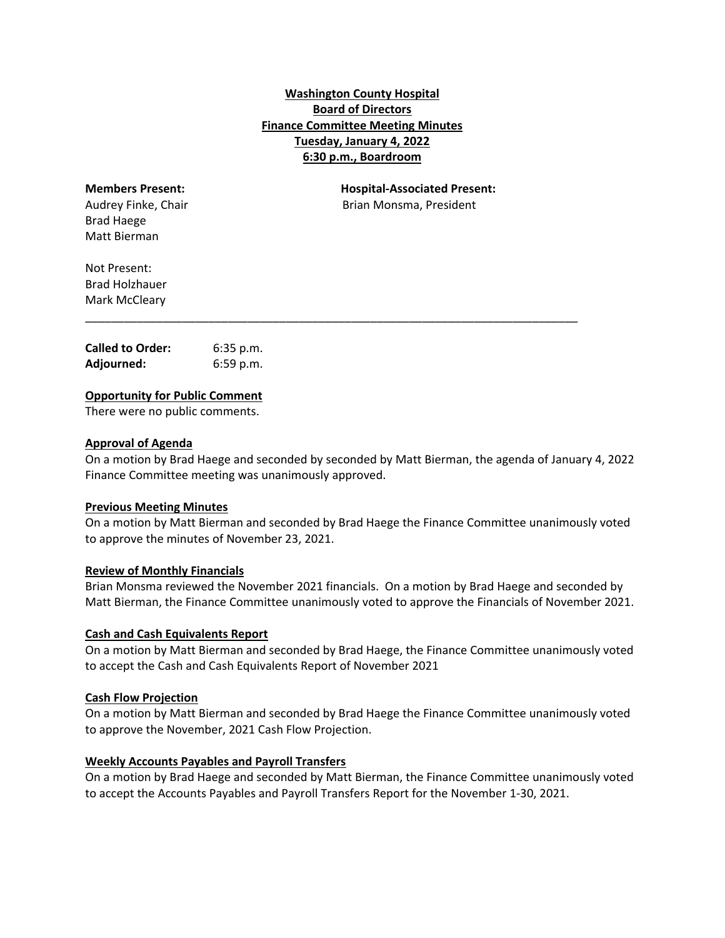# **Washington County Hospital Board of Directors Finance Committee Meeting Minutes Tuesday, January 4, 2022 6:30 p.m., Boardroom**

| <b>Members Present:</b> |  |
|-------------------------|--|
| Audrey Finke, Chair     |  |
| Brad Haege              |  |
| Matt Bierman            |  |

**Members Present: Hospital‐Associated Present:** Brian Monsma, President

Not Present: Brad Holzhauer Mark McCleary

| <b>Called to Order:</b> | $6:35$ p.m. |
|-------------------------|-------------|
| Adjourned:              | 6:59 p.m.   |

# **Opportunity for Public Comment**

There were no public comments.

# **Approval of Agenda**

On a motion by Brad Haege and seconded by seconded by Matt Bierman, the agenda of January 4, 2022 Finance Committee meeting was unanimously approved.

\_\_\_\_\_\_\_\_\_\_\_\_\_\_\_\_\_\_\_\_\_\_\_\_\_\_\_\_\_\_\_\_\_\_\_\_\_\_\_\_\_\_\_\_\_\_\_\_\_\_\_\_\_\_\_\_\_\_\_\_\_\_\_\_\_\_\_\_\_\_\_\_\_\_\_\_

#### **Previous Meeting Minutes**

On a motion by Matt Bierman and seconded by Brad Haege the Finance Committee unanimously voted to approve the minutes of November 23, 2021.

#### **Review of Monthly Financials**

Brian Monsma reviewed the November 2021 financials. On a motion by Brad Haege and seconded by Matt Bierman, the Finance Committee unanimously voted to approve the Financials of November 2021.

# **Cash and Cash Equivalents Report**

On a motion by Matt Bierman and seconded by Brad Haege, the Finance Committee unanimously voted to accept the Cash and Cash Equivalents Report of November 2021

#### **Cash Flow Projection**

On a motion by Matt Bierman and seconded by Brad Haege the Finance Committee unanimously voted to approve the November, 2021 Cash Flow Projection.

### **Weekly Accounts Payables and Payroll Transfers**

On a motion by Brad Haege and seconded by Matt Bierman, the Finance Committee unanimously voted to accept the Accounts Payables and Payroll Transfers Report for the November 1‐30, 2021.